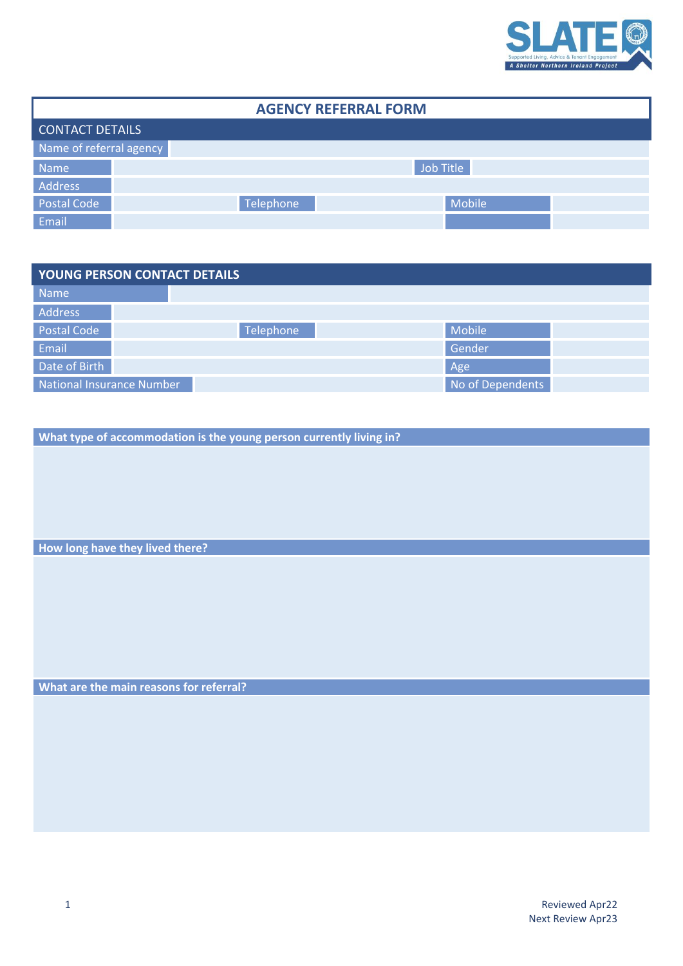

| <b>AGENCY REFERRAL FORM</b> |           |           |        |  |  |  |  |  |  |
|-----------------------------|-----------|-----------|--------|--|--|--|--|--|--|
| <b>CONTACT DETAILS</b>      |           |           |        |  |  |  |  |  |  |
| Name of referral agency     |           |           |        |  |  |  |  |  |  |
| Name                        | Job Title |           |        |  |  |  |  |  |  |
| Address                     |           |           |        |  |  |  |  |  |  |
| Postal Code                 |           | Telephone | Mobile |  |  |  |  |  |  |
| Email                       |           |           |        |  |  |  |  |  |  |

| <b>YOUNG PERSON CONTACT DETAILS</b> |                  |        |  |  |  |  |  |  |  |
|-------------------------------------|------------------|--------|--|--|--|--|--|--|--|
| Name                                |                  |        |  |  |  |  |  |  |  |
| Address                             |                  |        |  |  |  |  |  |  |  |
| <b>Postal Code</b>                  | Telephone        | Mobile |  |  |  |  |  |  |  |
| Email                               |                  | Gender |  |  |  |  |  |  |  |
| Date of Birth                       |                  | Age    |  |  |  |  |  |  |  |
| National Insurance Number           | No of Dependents |        |  |  |  |  |  |  |  |

**What type of accommodation is the young person currently living in?**

**How long have they lived there?**

**What are the main reasons for referral?**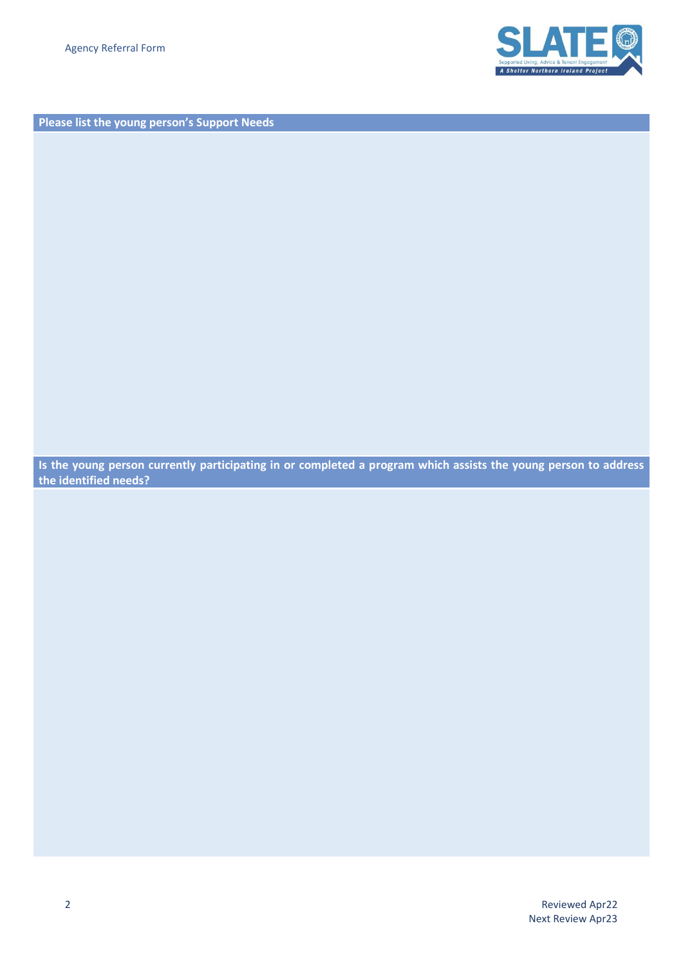

**Please list the young person's Support Needs**

**Is the young person currently participating in or completed a program which assists the young person to address the identified needs?**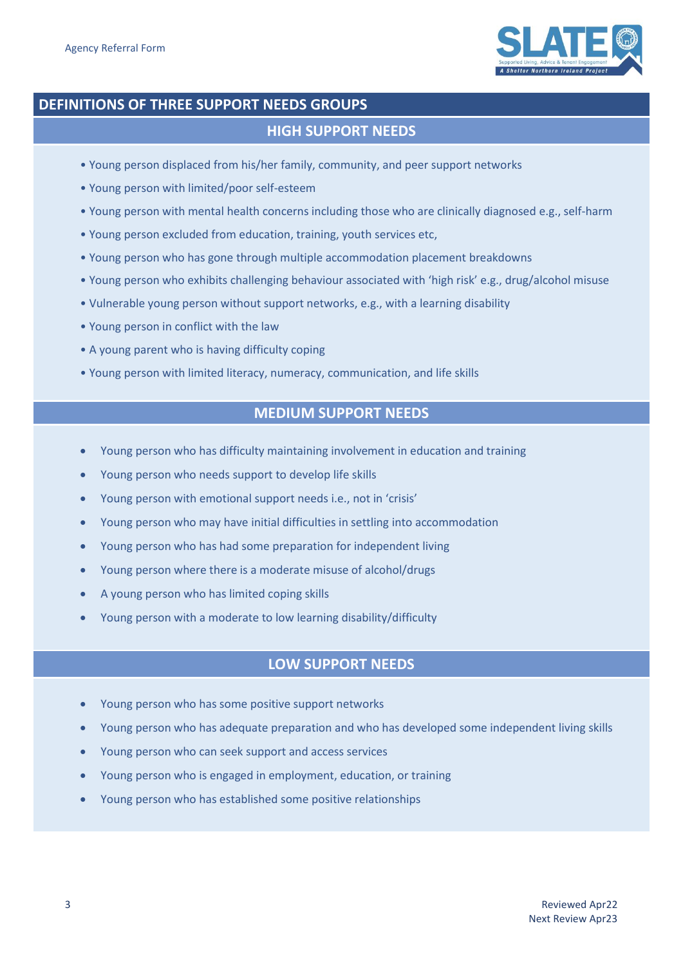

## **DEFINITIONS OF THREE SUPPORT NEEDS GROUPS**

## **HIGH SUPPORT NEEDS**

- Young person displaced from his/her family, community, and peer support networks
- Young person with limited/poor self-esteem
- Young person with mental health concerns including those who are clinically diagnosed e.g., self-harm
- Young person excluded from education, training, youth services etc,
- Young person who has gone through multiple accommodation placement breakdowns
- Young person who exhibits challenging behaviour associated with 'high risk' e.g., drug/alcohol misuse
- Vulnerable young person without support networks, e.g., with a learning disability
- Young person in conflict with the law
- A young parent who is having difficulty coping
- Young person with limited literacy, numeracy, communication, and life skills

## **MEDIUM SUPPORT NEEDS**

- Young person who has difficulty maintaining involvement in education and training
- Young person who needs support to develop life skills
- Young person with emotional support needs i.e., not in 'crisis'
- Young person who may have initial difficulties in settling into accommodation
- Young person who has had some preparation for independent living
- Young person where there is a moderate misuse of alcohol/drugs
- A young person who has limited coping skills
- Young person with a moderate to low learning disability/difficulty

## **LOW SUPPORT NEEDS**

- Young person who has some positive support networks
- Young person who has adequate preparation and who has developed some independent living skills
- Young person who can seek support and access services
- Young person who is engaged in employment, education, or training
- Young person who has established some positive relationships